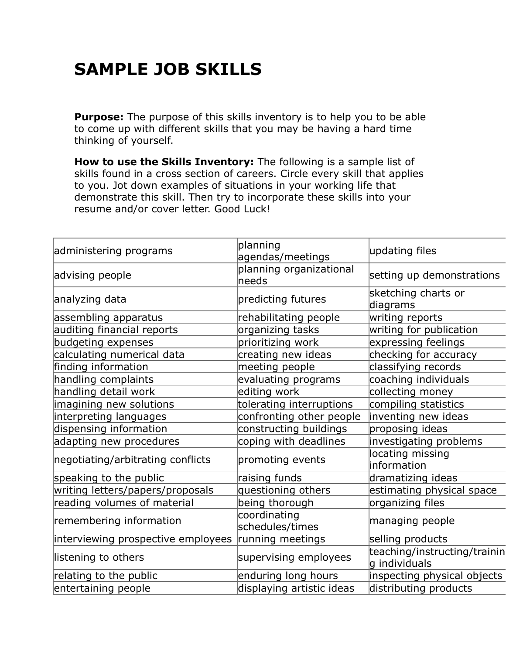## **SAMPLE JOB SKILLS**

**Purpose:** The purpose of this skills inventory is to help you to be able to come up with different skills that you may be having a hard time thinking of yourself.

**How to use the Skills Inventory:** The following is a sample list of skills found in a cross section of careers. Circle every skill that applies to you. Jot down examples of situations in your working life that demonstrate this skill. Then try to incorporate these skills into your resume and/or cover letter. Good Luck!

| administering programs             | planning<br>agendas/meetings     | updating files                                |
|------------------------------------|----------------------------------|-----------------------------------------------|
| advising people                    | planning organizational<br>needs | setting up demonstrations                     |
| analyzing data                     | predicting futures               | sketching charts or<br>diagrams               |
| assembling apparatus               | rehabilitating people            | writing reports                               |
| auditing financial reports         | organizing tasks                 | writing for publication                       |
| budgeting expenses                 | prioritizing work                | expressing feelings                           |
| calculating numerical data         | creating new ideas               | checking for accuracy                         |
| finding information                | meeting people                   | classifying records                           |
| handling complaints                | evaluating programs              | coaching individuals                          |
| handling detail work               | editing work                     | collecting money                              |
| imagining new solutions            | tolerating interruptions         | compiling statistics                          |
| interpreting languages             | confronting other people         | inventing new ideas                           |
| dispensing information             | constructing buildings           | proposing ideas                               |
| adapting new procedures            | coping with deadlines            | investigating problems                        |
| negotiating/arbitrating conflicts  | promoting events                 | locating missing<br>information               |
| speaking to the public             | raising funds                    | dramatizing ideas                             |
| writing letters/papers/proposals   | questioning others               | estimating physical space                     |
| reading volumes of material        | being thorough                   | organizing files                              |
| remembering information            | coordinating<br>schedules/times  | managing people                               |
| interviewing prospective employees | running meetings                 | selling products                              |
| listening to others                | supervising employees            | teaching/instructing/trainin<br>g individuals |
| relating to the public             | enduring long hours              | inspecting physical objects                   |
| entertaining people                | displaying artistic ideas        | distributing products                         |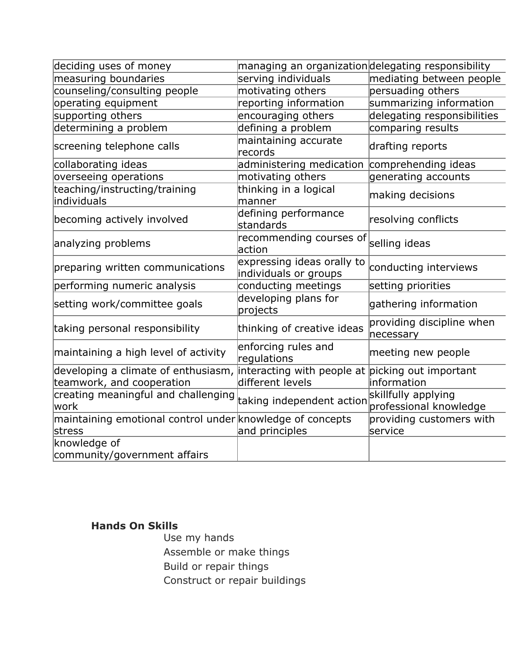| deciding uses of money                                              | managing an organizationdelegating responsibility                    |                                               |
|---------------------------------------------------------------------|----------------------------------------------------------------------|-----------------------------------------------|
| measuring boundaries                                                | serving individuals                                                  | mediating between people                      |
| counseling/consulting people                                        | motivating others                                                    | persuading others                             |
| operating equipment                                                 | reporting information                                                | summarizing information                       |
| supporting others                                                   | encouraging others                                                   | delegating responsibilities                   |
| determining a problem                                               | defining a problem                                                   | comparing results                             |
| screening telephone calls                                           | maintaining accurate<br>records                                      | drafting reports                              |
| collaborating ideas                                                 | administering medication                                             | comprehending ideas                           |
| overseeing operations                                               | motivating others                                                    | generating accounts                           |
| teaching/instructing/training<br>individuals                        | thinking in a logical<br>manner                                      | making decisions                              |
| becoming actively involved                                          | defining performance<br>standards                                    | resolving conflicts                           |
| analyzing problems                                                  | recommending courses of<br>action                                    | selling ideas                                 |
| preparing written communications                                    | expressing ideas orally to<br>individuals or groups                  | conducting interviews                         |
| performing numeric analysis                                         | conducting meetings                                                  | setting priorities                            |
| setting work/committee goals                                        | developing plans for<br>projects                                     | gathering information                         |
| taking personal responsibility                                      | thinking of creative ideas                                           | providing discipline when<br>necessary        |
| maintaining a high level of activity                                | enforcing rules and<br>regulations                                   | meeting new people                            |
| developing a climate of enthusiasm,<br>teamwork, and cooperation    | interacting with people at picking out important<br>different levels | information                                   |
| creating meaningful and challenging<br>lwork                        | taking independent action                                            | skillfully applying<br>professional knowledge |
| maintaining emotional control under knowledge of concepts<br>stress | and principles                                                       | providing customers with<br>service           |
| knowledge of                                                        |                                                                      |                                               |
| community/government affairs                                        |                                                                      |                                               |

## **Hands On Skills**

Use my hands Assemble or make things Build or repair things Construct or repair buildings